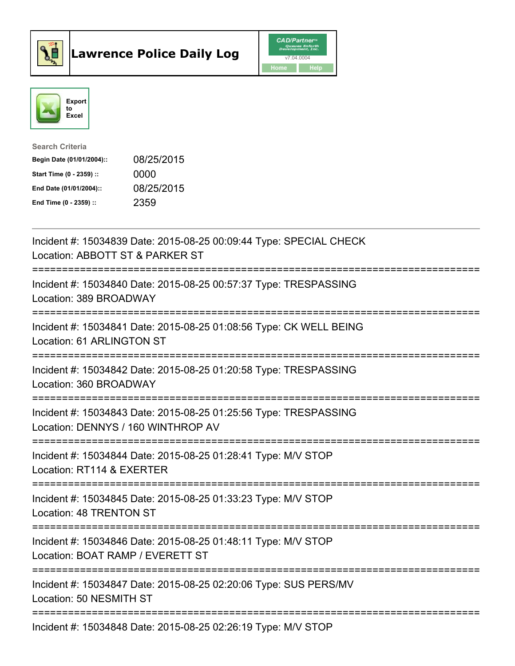



| <b>Search Criteria</b>    |            |
|---------------------------|------------|
| Begin Date (01/01/2004):: | 08/25/2015 |
| Start Time (0 - 2359) ::  | 0000       |
| End Date (01/01/2004)::   | 08/25/2015 |
| End Time $(0 - 2359)$ :   | 2359       |

| Incident #: 15034839 Date: 2015-08-25 00:09:44 Type: SPECIAL CHECK<br>Location: ABBOTT ST & PARKER ST                                                |
|------------------------------------------------------------------------------------------------------------------------------------------------------|
| Incident #: 15034840 Date: 2015-08-25 00:57:37 Type: TRESPASSING<br>Location: 389 BROADWAY<br>===============                                        |
| Incident #: 15034841 Date: 2015-08-25 01:08:56 Type: CK WELL BEING<br>Location: 61 ARLINGTON ST<br>=============                                     |
| Incident #: 15034842 Date: 2015-08-25 01:20:58 Type: TRESPASSING<br>Location: 360 BROADWAY<br>================================                       |
| Incident #: 15034843 Date: 2015-08-25 01:25:56 Type: TRESPASSING<br>Location: DENNYS / 160 WINTHROP AV<br>---------------------------<br>=========== |
| Incident #: 15034844 Date: 2015-08-25 01:28:41 Type: M/V STOP<br>Location: RT114 & EXERTER                                                           |
| Incident #: 15034845 Date: 2015-08-25 01:33:23 Type: M/V STOP<br>Location: 48 TRENTON ST                                                             |
| Incident #: 15034846 Date: 2015-08-25 01:48:11 Type: M/V STOP<br>Location: BOAT RAMP / EVERETT ST                                                    |
| Incident #: 15034847 Date: 2015-08-25 02:20:06 Type: SUS PERS/MV<br>Location: 50 NESMITH ST                                                          |
| Incident #: 15034848 Date: 2015-08-25 02:26:19 Type: M/V STOP                                                                                        |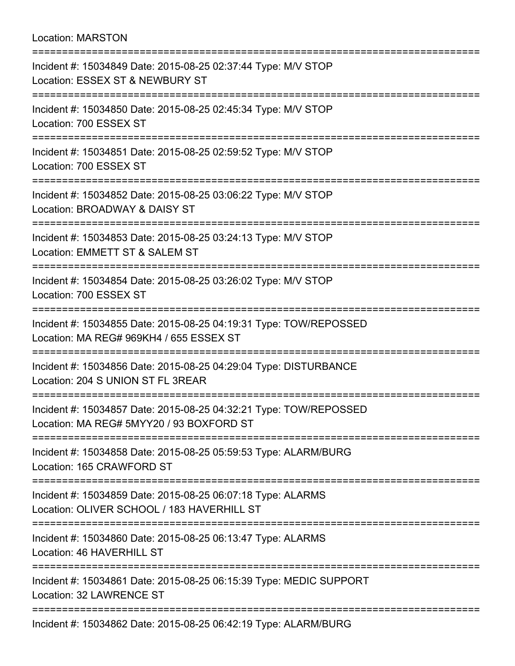## Location: MARSTON

| Incident #: 15034849 Date: 2015-08-25 02:37:44 Type: M/V STOP<br>Location: ESSEX ST & NEWBURY ST<br>;==========================<br>============= |
|--------------------------------------------------------------------------------------------------------------------------------------------------|
| Incident #: 15034850 Date: 2015-08-25 02:45:34 Type: M/V STOP<br>Location: 700 ESSEX ST<br>-----------------------------------                   |
| Incident #: 15034851 Date: 2015-08-25 02:59:52 Type: M/V STOP<br>Location: 700 ESSEX ST                                                          |
| Incident #: 15034852 Date: 2015-08-25 03:06:22 Type: M/V STOP<br>Location: BROADWAY & DAISY ST                                                   |
| Incident #: 15034853 Date: 2015-08-25 03:24:13 Type: M/V STOP<br>Location: EMMETT ST & SALEM ST                                                  |
| Incident #: 15034854 Date: 2015-08-25 03:26:02 Type: M/V STOP<br>Location: 700 ESSEX ST<br>;=================================                    |
| Incident #: 15034855 Date: 2015-08-25 04:19:31 Type: TOW/REPOSSED<br>Location: MA REG# 969KH4 / 655 ESSEX ST                                     |
| Incident #: 15034856 Date: 2015-08-25 04:29:04 Type: DISTURBANCE<br>Location: 204 S UNION ST FL 3REAR<br>------------------------                |
| Incident #: 15034857 Date: 2015-08-25 04:32:21 Type: TOW/REPOSSED<br>Location: MA REG# 5MYY20 / 93 BOXFORD ST                                    |
| Incident #: 15034858 Date: 2015-08-25 05:59:53 Type: ALARM/BURG<br>Location: 165 CRAWFORD ST                                                     |
| Incident #: 15034859 Date: 2015-08-25 06:07:18 Type: ALARMS<br>Location: OLIVER SCHOOL / 183 HAVERHILL ST                                        |
| Incident #: 15034860 Date: 2015-08-25 06:13:47 Type: ALARMS<br>Location: 46 HAVERHILL ST                                                         |
| ===================<br>Incident #: 15034861 Date: 2015-08-25 06:15:39 Type: MEDIC SUPPORT<br>Location: 32 LAWRENCE ST                            |
| Incident #: 15034862 Date: 2015-08-25 06:42:19 Type: ALARM/BURG                                                                                  |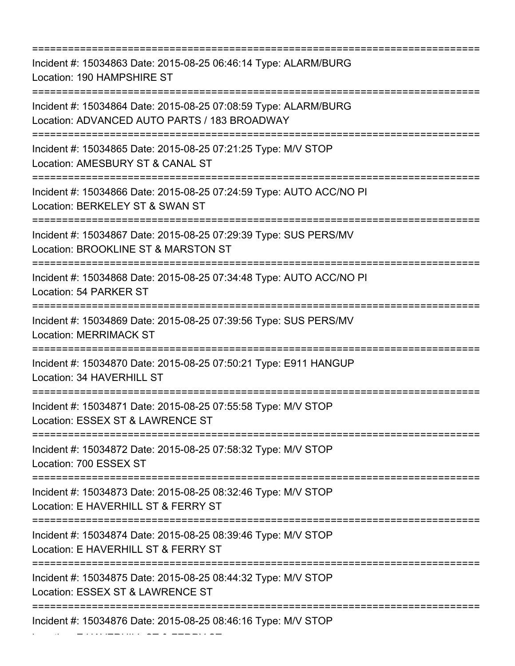=========================================================================== Incident #: 15034863 Date: 2015-08-25 06:46:14 Type: ALARM/BURG Location: 190 HAMPSHIRE ST =========================================================================== Incident #: 15034864 Date: 2015-08-25 07:08:59 Type: ALARM/BURG Location: ADVANCED AUTO PARTS / 183 BROADWAY =========================================================================== Incident #: 15034865 Date: 2015-08-25 07:21:25 Type: M/V STOP Location: AMESBURY ST & CANAL ST =========================================================================== Incident #: 15034866 Date: 2015-08-25 07:24:59 Type: AUTO ACC/NO PI Location: BERKELEY ST & SWAN ST =========================================================================== Incident #: 15034867 Date: 2015-08-25 07:29:39 Type: SUS PERS/MV Location: BROOKLINE ST & MARSTON ST =========================================================================== Incident #: 15034868 Date: 2015-08-25 07:34:48 Type: AUTO ACC/NO PI Location: 54 PARKER ST =========================================================================== Incident #: 15034869 Date: 2015-08-25 07:39:56 Type: SUS PERS/MV Location: MERRIMACK ST =========================================================================== Incident #: 15034870 Date: 2015-08-25 07:50:21 Type: E911 HANGUP Location: 34 HAVERHILL ST =========================================================================== Incident #: 15034871 Date: 2015-08-25 07:55:58 Type: M/V STOP Location: ESSEX ST & LAWRENCE ST =========================================================================== Incident #: 15034872 Date: 2015-08-25 07:58:32 Type: M/V STOP Location: 700 ESSEX ST =========================================================================== Incident #: 15034873 Date: 2015-08-25 08:32:46 Type: M/V STOP Location: E HAVERHILL ST & FERRY ST =========================================================================== Incident #: 15034874 Date: 2015-08-25 08:39:46 Type: M/V STOP Location: E HAVERHILL ST & FERRY ST =========================================================================== Incident #: 15034875 Date: 2015-08-25 08:44:32 Type: M/V STOP Location: ESSEX ST & LAWRENCE ST =========================================================================== Incident #: 15034876 Date: 2015-08-25 08:46:16 Type: M/V STOP

Location: E HAVERHILL ST & FERRY ST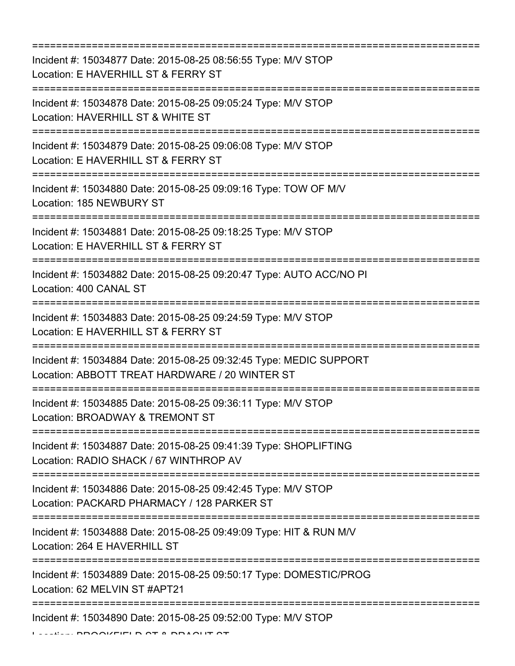=========================================================================== Incident #: 15034877 Date: 2015-08-25 08:56:55 Type: M/V STOP Location: E HAVERHILL ST & FERRY ST =========================================================================== Incident #: 15034878 Date: 2015-08-25 09:05:24 Type: M/V STOP Location: HAVERHILL ST & WHITE ST =========================================================================== Incident #: 15034879 Date: 2015-08-25 09:06:08 Type: M/V STOP Location: E HAVERHILL ST & FERRY ST =========================================================================== Incident #: 15034880 Date: 2015-08-25 09:09:16 Type: TOW OF M/V Location: 185 NEWBURY ST =========================================================================== Incident #: 15034881 Date: 2015-08-25 09:18:25 Type: M/V STOP Location: E HAVERHILL ST & FERRY ST =========================================================================== Incident #: 15034882 Date: 2015-08-25 09:20:47 Type: AUTO ACC/NO PI Location: 400 CANAL ST =========================================================================== Incident #: 15034883 Date: 2015-08-25 09:24:59 Type: M/V STOP Location: E HAVERHILL ST & FERRY ST =========================================================================== Incident #: 15034884 Date: 2015-08-25 09:32:45 Type: MEDIC SUPPORT Location: ABBOTT TREAT HARDWARE / 20 WINTER ST =========================================================================== Incident #: 15034885 Date: 2015-08-25 09:36:11 Type: M/V STOP Location: BROADWAY & TREMONT ST =========================================================================== Incident #: 15034887 Date: 2015-08-25 09:41:39 Type: SHOPLIFTING Location: RADIO SHACK / 67 WINTHROP AV =========================================================================== Incident #: 15034886 Date: 2015-08-25 09:42:45 Type: M/V STOP Location: PACKARD PHARMACY / 128 PARKER ST =========================================================================== Incident #: 15034888 Date: 2015-08-25 09:49:09 Type: HIT & RUN M/V Location: 264 E HAVERHILL ST =========================================================================== Incident #: 15034889 Date: 2015-08-25 09:50:17 Type: DOMESTIC/PROG Location: 62 MELVIN ST #APT21 =========================================================================== Incident #: 15034890 Date: 2015-08-25 09:52:00 Type: M/V STOP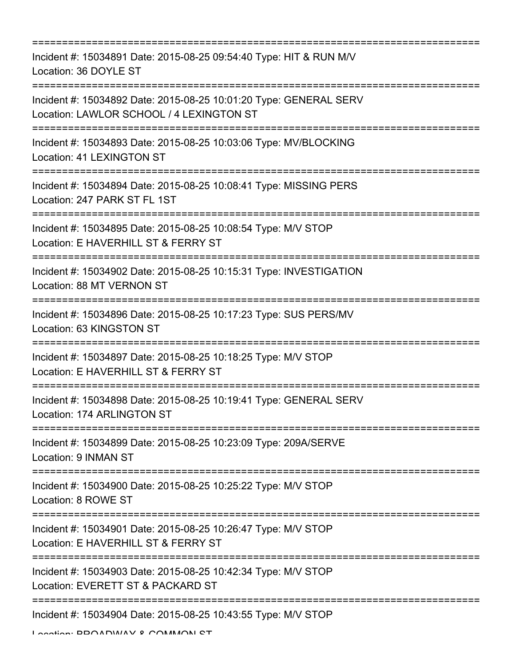=========================================================================== Incident #: 15034891 Date: 2015-08-25 09:54:40 Type: HIT & RUN M/V Location: 36 DOYLE ST =========================================================================== Incident #: 15034892 Date: 2015-08-25 10:01:20 Type: GENERAL SERV Location: LAWLOR SCHOOL / 4 LEXINGTON ST =========================================================================== Incident #: 15034893 Date: 2015-08-25 10:03:06 Type: MV/BLOCKING Location: 41 LEXINGTON ST =========================================================================== Incident #: 15034894 Date: 2015-08-25 10:08:41 Type: MISSING PERS Location: 247 PARK ST FL 1ST =========================================================================== Incident #: 15034895 Date: 2015-08-25 10:08:54 Type: M/V STOP Location: E HAVERHILL ST & FERRY ST =========================================================================== Incident #: 15034902 Date: 2015-08-25 10:15:31 Type: INVESTIGATION Location: 88 MT VERNON ST =========================================================================== Incident #: 15034896 Date: 2015-08-25 10:17:23 Type: SUS PERS/MV Location: 63 KINGSTON ST =========================================================================== Incident #: 15034897 Date: 2015-08-25 10:18:25 Type: M/V STOP Location: E HAVERHILL ST & FERRY ST =========================================================================== Incident #: 15034898 Date: 2015-08-25 10:19:41 Type: GENERAL SERV Location: 174 ARLINGTON ST =========================================================================== Incident #: 15034899 Date: 2015-08-25 10:23:09 Type: 209A/SERVE Location: 9 INMAN ST =========================================================================== Incident #: 15034900 Date: 2015-08-25 10:25:22 Type: M/V STOP Location: 8 ROWE ST =========================================================================== Incident #: 15034901 Date: 2015-08-25 10:26:47 Type: M/V STOP Location: E HAVERHILL ST & FERRY ST =========================================================================== Incident #: 15034903 Date: 2015-08-25 10:42:34 Type: M/V STOP Location: EVERETT ST & PACKARD ST =========================================================================== Incident #: 15034904 Date: 2015-08-25 10:43:55 Type: M/V STOP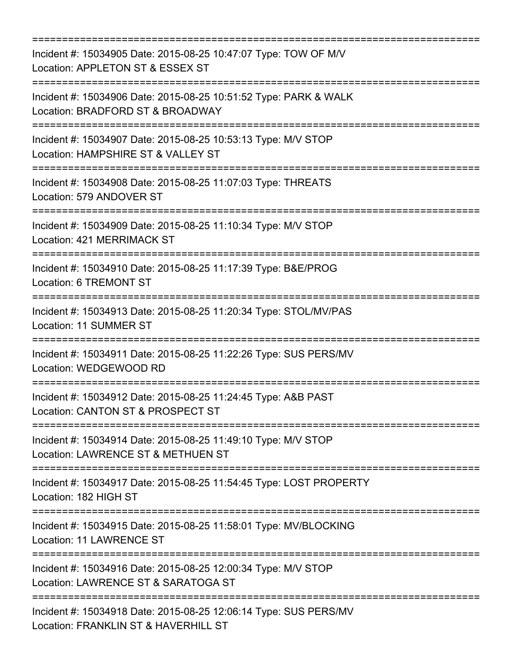| Incident #: 15034905 Date: 2015-08-25 10:47:07 Type: TOW OF M/V<br>Location: APPLETON ST & ESSEX ST                                  |
|--------------------------------------------------------------------------------------------------------------------------------------|
| Incident #: 15034906 Date: 2015-08-25 10:51:52 Type: PARK & WALK<br>Location: BRADFORD ST & BROADWAY<br>============================ |
| Incident #: 15034907 Date: 2015-08-25 10:53:13 Type: M/V STOP<br>Location: HAMPSHIRE ST & VALLEY ST                                  |
| Incident #: 15034908 Date: 2015-08-25 11:07:03 Type: THREATS<br>Location: 579 ANDOVER ST                                             |
| Incident #: 15034909 Date: 2015-08-25 11:10:34 Type: M/V STOP<br>Location: 421 MERRIMACK ST                                          |
| :====================<br>Incident #: 15034910 Date: 2015-08-25 11:17:39 Type: B&E/PROG<br>Location: 6 TREMONT ST                     |
| Incident #: 15034913 Date: 2015-08-25 11:20:34 Type: STOL/MV/PAS<br>Location: 11 SUMMER ST                                           |
| =======================<br>Incident #: 15034911 Date: 2015-08-25 11:22:26 Type: SUS PERS/MV<br>Location: WEDGEWOOD RD                |
| Incident #: 15034912 Date: 2015-08-25 11:24:45 Type: A&B PAST<br>Location: CANTON ST & PROSPECT ST                                   |
| Incident #: 15034914 Date: 2015-08-25 11:49:10 Type: M/V STOP<br>Location: LAWRENCE ST & METHUEN ST                                  |
| Incident #: 15034917 Date: 2015-08-25 11:54:45 Type: LOST PROPERTY<br>Location: 182 HIGH ST                                          |
| Incident #: 15034915 Date: 2015-08-25 11:58:01 Type: MV/BLOCKING<br><b>Location: 11 LAWRENCE ST</b>                                  |
| Incident #: 15034916 Date: 2015-08-25 12:00:34 Type: M/V STOP<br>Location: LAWRENCE ST & SARATOGA ST                                 |
| Incident #: 15034918 Date: 2015-08-25 12:06:14 Type: SUS PERS/MV<br>Location: FRANKLIN ST & HAVERHILL ST                             |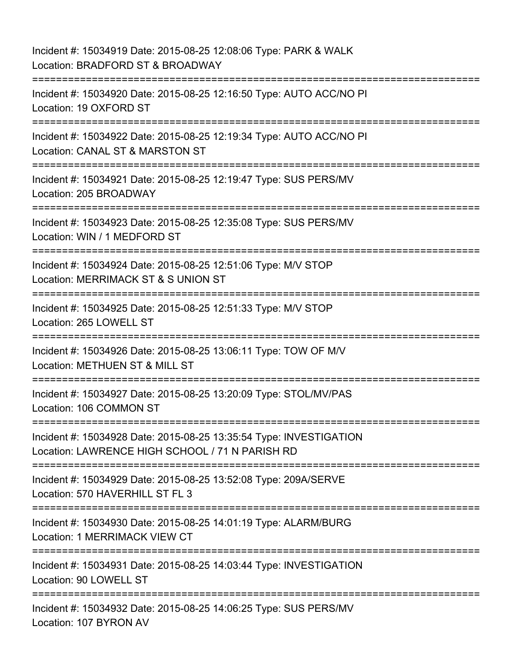Incident #: 15034919 Date: 2015-08-25 12:08:06 Type: PARK & WALK Location: BRADFORD ST & BROADWAY =========================================================================== Incident #: 15034920 Date: 2015-08-25 12:16:50 Type: AUTO ACC/NO PI Location: 19 OXFORD ST =========================================================================== Incident #: 15034922 Date: 2015-08-25 12:19:34 Type: AUTO ACC/NO PI Location: CANAL ST & MARSTON ST =========================================================================== Incident #: 15034921 Date: 2015-08-25 12:19:47 Type: SUS PERS/MV Location: 205 BROADWAY =========================================================================== Incident #: 15034923 Date: 2015-08-25 12:35:08 Type: SUS PERS/MV Location: WIN / 1 MEDFORD ST =========================================================================== Incident #: 15034924 Date: 2015-08-25 12:51:06 Type: M/V STOP Location: MERRIMACK ST & S UNION ST =========================================================================== Incident #: 15034925 Date: 2015-08-25 12:51:33 Type: M/V STOP Location: 265 LOWELL ST =========================================================================== Incident #: 15034926 Date: 2015-08-25 13:06:11 Type: TOW OF M/V Location: METHUEN ST & MILL ST =========================================================================== Incident #: 15034927 Date: 2015-08-25 13:20:09 Type: STOL/MV/PAS Location: 106 COMMON ST =========================================================================== Incident #: 15034928 Date: 2015-08-25 13:35:54 Type: INVESTIGATION Location: LAWRENCE HIGH SCHOOL / 71 N PARISH RD =========================================================================== Incident #: 15034929 Date: 2015-08-25 13:52:08 Type: 209A/SERVE Location: 570 HAVERHILL ST FL 3 =========================================================================== Incident #: 15034930 Date: 2015-08-25 14:01:19 Type: ALARM/BURG Location: 1 MERRIMACK VIEW CT =========================================================================== Incident #: 15034931 Date: 2015-08-25 14:03:44 Type: INVESTIGATION Location: 90 LOWELL ST ============================== Incident #: 15034932 Date: 2015-08-25 14:06:25 Type: SUS PERS/MV Location: 107 BYRON AV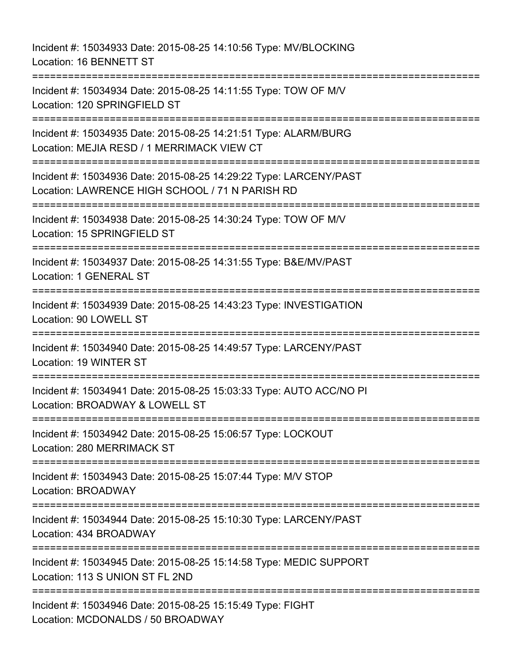Incident #: 15034933 Date: 2015-08-25 14:10:56 Type: MV/BLOCKING Location: 16 BENNETT ST =========================================================================== Incident #: 15034934 Date: 2015-08-25 14:11:55 Type: TOW OF M/V Location: 120 SPRINGFIELD ST =========================================================================== Incident #: 15034935 Date: 2015-08-25 14:21:51 Type: ALARM/BURG Location: MEJIA RESD / 1 MERRIMACK VIEW CT =========================================================================== Incident #: 15034936 Date: 2015-08-25 14:29:22 Type: LARCENY/PAST Location: LAWRENCE HIGH SCHOOL / 71 N PARISH RD =========================================================================== Incident #: 15034938 Date: 2015-08-25 14:30:24 Type: TOW OF M/V Location: 15 SPRINGFIELD ST =========================================================================== Incident #: 15034937 Date: 2015-08-25 14:31:55 Type: B&E/MV/PAST Location: 1 GENERAL ST =========================================================================== Incident #: 15034939 Date: 2015-08-25 14:43:23 Type: INVESTIGATION Location: 90 LOWELL ST =========================================================================== Incident #: 15034940 Date: 2015-08-25 14:49:57 Type: LARCENY/PAST Location: 19 WINTER ST =========================================================================== Incident #: 15034941 Date: 2015-08-25 15:03:33 Type: AUTO ACC/NO PI Location: BROADWAY & LOWELL ST =========================================================================== Incident #: 15034942 Date: 2015-08-25 15:06:57 Type: LOCKOUT Location: 280 MERRIMACK ST =========================================================================== Incident #: 15034943 Date: 2015-08-25 15:07:44 Type: M/V STOP Location: BROADWAY =========================================================================== Incident #: 15034944 Date: 2015-08-25 15:10:30 Type: LARCENY/PAST Location: 434 BROADWAY =========================================================================== Incident #: 15034945 Date: 2015-08-25 15:14:58 Type: MEDIC SUPPORT Location: 113 S UNION ST FL 2ND =========================================================================== Incident #: 15034946 Date: 2015-08-25 15:15:49 Type: FIGHT Location: MCDONALDS / 50 BROADWAY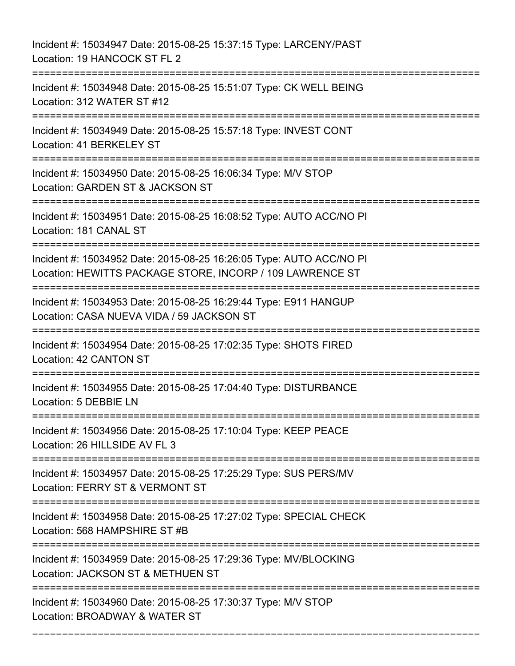| Incident #: 15034947 Date: 2015-08-25 15:37:15 Type: LARCENY/PAST<br>Location: 19 HANCOCK ST FL 2                                |
|----------------------------------------------------------------------------------------------------------------------------------|
| Incident #: 15034948 Date: 2015-08-25 15:51:07 Type: CK WELL BEING<br>Location: 312 WATER ST #12                                 |
| Incident #: 15034949 Date: 2015-08-25 15:57:18 Type: INVEST CONT<br>Location: 41 BERKELEY ST                                     |
| Incident #: 15034950 Date: 2015-08-25 16:06:34 Type: M/V STOP<br>Location: GARDEN ST & JACKSON ST                                |
| Incident #: 15034951 Date: 2015-08-25 16:08:52 Type: AUTO ACC/NO PI<br>Location: 181 CANAL ST                                    |
| Incident #: 15034952 Date: 2015-08-25 16:26:05 Type: AUTO ACC/NO PI<br>Location: HEWITTS PACKAGE STORE, INCORP / 109 LAWRENCE ST |
| Incident #: 15034953 Date: 2015-08-25 16:29:44 Type: E911 HANGUP<br>Location: CASA NUEVA VIDA / 59 JACKSON ST                    |
| Incident #: 15034954 Date: 2015-08-25 17:02:35 Type: SHOTS FIRED<br>Location: 42 CANTON ST                                       |
| Incident #: 15034955 Date: 2015-08-25 17:04:40 Type: DISTURBANCE<br>Location: 5 DEBBIE LN                                        |
| Incident #: 15034956 Date: 2015-08-25 17:10:04 Type: KEEP PEACE<br>Location: 26 HILLSIDE AV FL 3                                 |
| Incident #: 15034957 Date: 2015-08-25 17:25:29 Type: SUS PERS/MV<br>Location: FERRY ST & VERMONT ST                              |
| Incident #: 15034958 Date: 2015-08-25 17:27:02 Type: SPECIAL CHECK<br>Location: 568 HAMPSHIRE ST #B                              |
| Incident #: 15034959 Date: 2015-08-25 17:29:36 Type: MV/BLOCKING<br>Location: JACKSON ST & METHUEN ST                            |
| Incident #: 15034960 Date: 2015-08-25 17:30:37 Type: M/V STOP<br>Location: BROADWAY & WATER ST                                   |

===========================================================================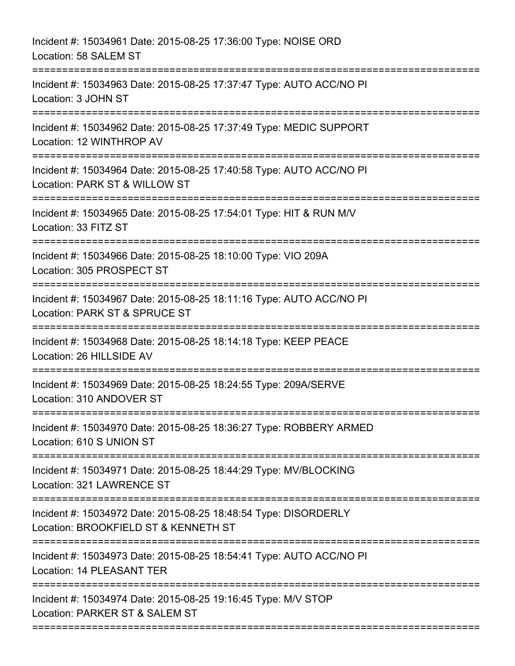| Incident #: 15034961 Date: 2015-08-25 17:36:00 Type: NOISE ORD<br>Location: 58 SALEM ST                                             |
|-------------------------------------------------------------------------------------------------------------------------------------|
| Incident #: 15034963 Date: 2015-08-25 17:37:47 Type: AUTO ACC/NO PI<br>Location: 3 JOHN ST<br>------------------------------------- |
| Incident #: 15034962 Date: 2015-08-25 17:37:49 Type: MEDIC SUPPORT<br>Location: 12 WINTHROP AV                                      |
| Incident #: 15034964 Date: 2015-08-25 17:40:58 Type: AUTO ACC/NO PI<br>Location: PARK ST & WILLOW ST                                |
| Incident #: 15034965 Date: 2015-08-25 17:54:01 Type: HIT & RUN M/V<br>Location: 33 FITZ ST                                          |
| Incident #: 15034966 Date: 2015-08-25 18:10:00 Type: VIO 209A<br>Location: 305 PROSPECT ST                                          |
| Incident #: 15034967 Date: 2015-08-25 18:11:16 Type: AUTO ACC/NO PI<br>Location: PARK ST & SPRUCE ST                                |
| Incident #: 15034968 Date: 2015-08-25 18:14:18 Type: KEEP PEACE<br>Location: 26 HILLSIDE AV<br>=============================        |
| Incident #: 15034969 Date: 2015-08-25 18:24:55 Type: 209A/SERVE<br>Location: 310 ANDOVER ST                                         |
| Incident #: 15034970 Date: 2015-08-25 18:36:27 Type: ROBBERY ARMED<br>Location: 610 S UNION ST                                      |
| Incident #: 15034971 Date: 2015-08-25 18:44:29 Type: MV/BLOCKING<br>Location: 321 LAWRENCE ST                                       |
| Incident #: 15034972 Date: 2015-08-25 18:48:54 Type: DISORDERLY<br>Location: BROOKFIELD ST & KENNETH ST                             |
| Incident #: 15034973 Date: 2015-08-25 18:54:41 Type: AUTO ACC/NO PI<br>Location: 14 PLEASANT TER                                    |
| Incident #: 15034974 Date: 2015-08-25 19:16:45 Type: M/V STOP<br>Location: PARKER ST & SALEM ST                                     |
|                                                                                                                                     |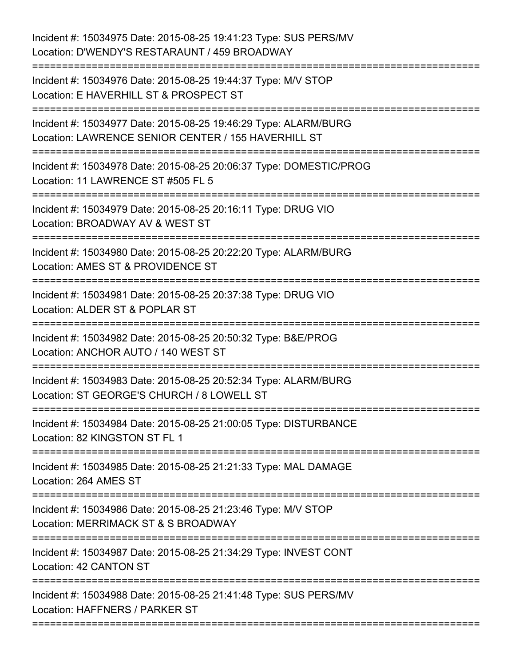| Incident #: 15034975 Date: 2015-08-25 19:41:23 Type: SUS PERS/MV<br>Location: D'WENDY'S RESTARAUNT / 459 BROADWAY<br>================          |
|------------------------------------------------------------------------------------------------------------------------------------------------|
| :==================================<br>Incident #: 15034976 Date: 2015-08-25 19:44:37 Type: M/V STOP<br>Location: E HAVERHILL ST & PROSPECT ST |
| Incident #: 15034977 Date: 2015-08-25 19:46:29 Type: ALARM/BURG<br>Location: LAWRENCE SENIOR CENTER / 155 HAVERHILL ST                         |
| Incident #: 15034978 Date: 2015-08-25 20:06:37 Type: DOMESTIC/PROG<br>Location: 11 LAWRENCE ST #505 FL 5                                       |
| Incident #: 15034979 Date: 2015-08-25 20:16:11 Type: DRUG VIO<br>Location: BROADWAY AV & WEST ST                                               |
| Incident #: 15034980 Date: 2015-08-25 20:22:20 Type: ALARM/BURG<br>Location: AMES ST & PROVIDENCE ST                                           |
| Incident #: 15034981 Date: 2015-08-25 20:37:38 Type: DRUG VIO<br>Location: ALDER ST & POPLAR ST<br>====================                        |
| Incident #: 15034982 Date: 2015-08-25 20:50:32 Type: B&E/PROG<br>Location: ANCHOR AUTO / 140 WEST ST                                           |
| :====================<br>Incident #: 15034983 Date: 2015-08-25 20:52:34 Type: ALARM/BURG<br>Location: ST GEORGE'S CHURCH / 8 LOWELL ST         |
| Incident #: 15034984 Date: 2015-08-25 21:00:05 Type: DISTURBANCE<br>Location: 82 KINGSTON ST FL 1                                              |
| Incident #: 15034985 Date: 2015-08-25 21:21:33 Type: MAL DAMAGE<br>Location: 264 AMES ST                                                       |
| Incident #: 15034986 Date: 2015-08-25 21:23:46 Type: M/V STOP<br>Location: MERRIMACK ST & S BROADWAY<br>----------------------------------     |
| Incident #: 15034987 Date: 2015-08-25 21:34:29 Type: INVEST CONT<br>Location: 42 CANTON ST                                                     |
| Incident #: 15034988 Date: 2015-08-25 21:41:48 Type: SUS PERS/MV<br>Location: HAFFNERS / PARKER ST<br>:===========================             |